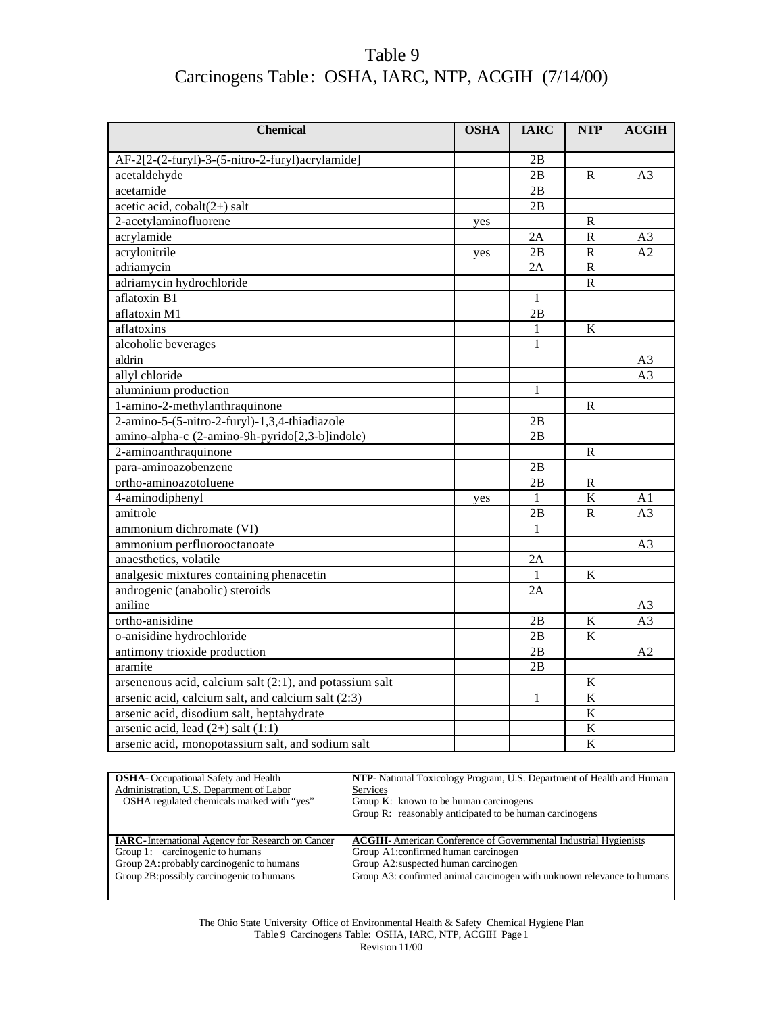| <b>Chemical</b>                                            | <b>OSHA</b> | <b>IARC</b>  | <b>NTP</b>              | <b>ACGIH</b>   |
|------------------------------------------------------------|-------------|--------------|-------------------------|----------------|
|                                                            |             |              |                         |                |
| AF-2[2-(2-furyl)-3-(5-nitro-2-furyl)acrylamide]            |             | 2B           |                         |                |
| acetaldehyde                                               |             | 2B           | R                       | A <sub>3</sub> |
| acetamide                                                  |             | 2B           |                         |                |
| acetic acid, $\text{cobalt}(2+)$ salt                      |             | 2B           |                         |                |
| 2-acetylaminofluorene                                      | yes         |              | R                       |                |
| acrylamide                                                 |             | 2A           | $\overline{\mathsf{R}}$ | A <sub>3</sub> |
| acrylonitrile                                              | yes         | 2B           | $\mathbb{R}$            | A <sub>2</sub> |
| adriamycin                                                 |             | 2A           | ${\bf R}$               |                |
| adriamycin hydrochloride                                   |             |              | $\mathbb{R}$            |                |
| aflatoxin B1                                               |             | 1            |                         |                |
| aflatoxin M1                                               |             | 2B           |                         |                |
| aflatoxins                                                 |             | $\mathbf{1}$ | $\overline{\mathbf{K}}$ |                |
| alcoholic beverages                                        |             | 1            |                         |                |
| aldrin                                                     |             |              |                         | A3             |
| allyl chloride                                             |             |              |                         | A <sub>3</sub> |
| aluminium production                                       |             | $\mathbf{1}$ |                         |                |
| 1-amino-2-methylanthraquinone                              |             |              | $\mathbb{R}$            |                |
| 2-amino-5-(5-nitro-2-furyl)-1,3,4-thiadiazole              |             | 2B           |                         |                |
| amino-alpha-c (2-amino-9h-pyrido[2,3-b]indole)             |             | 2B           |                         |                |
| 2-aminoanthraquinone                                       |             |              | R                       |                |
| para-aminoazobenzene                                       |             | 2B           |                         |                |
| ortho-aminoazotoluene                                      |             | 2B           | R                       |                |
| 4-aminodiphenyl                                            | yes         | $\mathbf{1}$ | $\overline{\mathbf{K}}$ | A1             |
| amitrole                                                   |             | 2B           | $\mathbf R$             | A <sub>3</sub> |
| ammonium dichromate (VI)                                   |             | $\mathbf{1}$ |                         |                |
| ammonium perfluorooctanoate                                |             |              |                         | A3             |
| anaesthetics, volatile                                     |             | 2A           |                         |                |
| analgesic mixtures containing phenacetin                   |             | $\mathbf{1}$ | $\bf K$                 |                |
| androgenic (anabolic) steroids                             |             | 2A           |                         |                |
| aniline                                                    |             |              |                         | A <sub>3</sub> |
| ortho-anisidine                                            |             | 2B           | $\mathbf K$             | A3             |
| o-anisidine hydrochloride                                  |             | 2B           | K                       |                |
| antimony trioxide production                               |             | 2B           |                         | A <sub>2</sub> |
| aramite                                                    |             | 2B           |                         |                |
| arsenenous acid, calcium salt $(2:1)$ , and potassium salt |             |              | $\bf K$                 |                |
| arsenic acid, calcium salt, and calcium salt (2:3)         |             | $\mathbf{1}$ | $\bf K$                 |                |
| arsenic acid, disodium salt, heptahydrate                  |             |              | $\bf K$                 |                |
| arsenic acid, lead $(2+)$ salt $(1:1)$                     |             |              | $\bf K$                 |                |
| arsenic acid, monopotassium salt, and sodium salt          |             |              | $\overline{\mathbf{K}}$ |                |

| <b>OSHA</b> - Occupational Safety and Health             | <b>NTP-</b> National Toxicology Program, U.S. Department of Health and Human |
|----------------------------------------------------------|------------------------------------------------------------------------------|
| Administration, U.S. Department of Labor                 | Services                                                                     |
| OSHA regulated chemicals marked with "yes"               | Group K: known to be human carcinogens                                       |
|                                                          | Group R: reasonably anticipated to be human carcinogens                      |
|                                                          |                                                                              |
| <b>IARC</b> -International Agency for Research on Cancer | <b>ACGIH-</b> American Conference of Governmental Industrial Hygienists      |
| Group 1: carcinogenic to humans                          | Group A1: confirmed human carcinogen                                         |
| Group 2A: probably carcinogenic to humans                | Group A2: suspected human carcinogen                                         |
| Group 2B: possibly carcinogenic to humans                | Group A3: confirmed animal carcinogen with unknown relevance to humans       |
|                                                          |                                                                              |

The Ohio State University Office of Environmental Health & Safety Chemical Hygiene Plan Table 9 Carcinogens Table: OSHA, IARC, NTP, ACGIH Page 1 Revision 11/00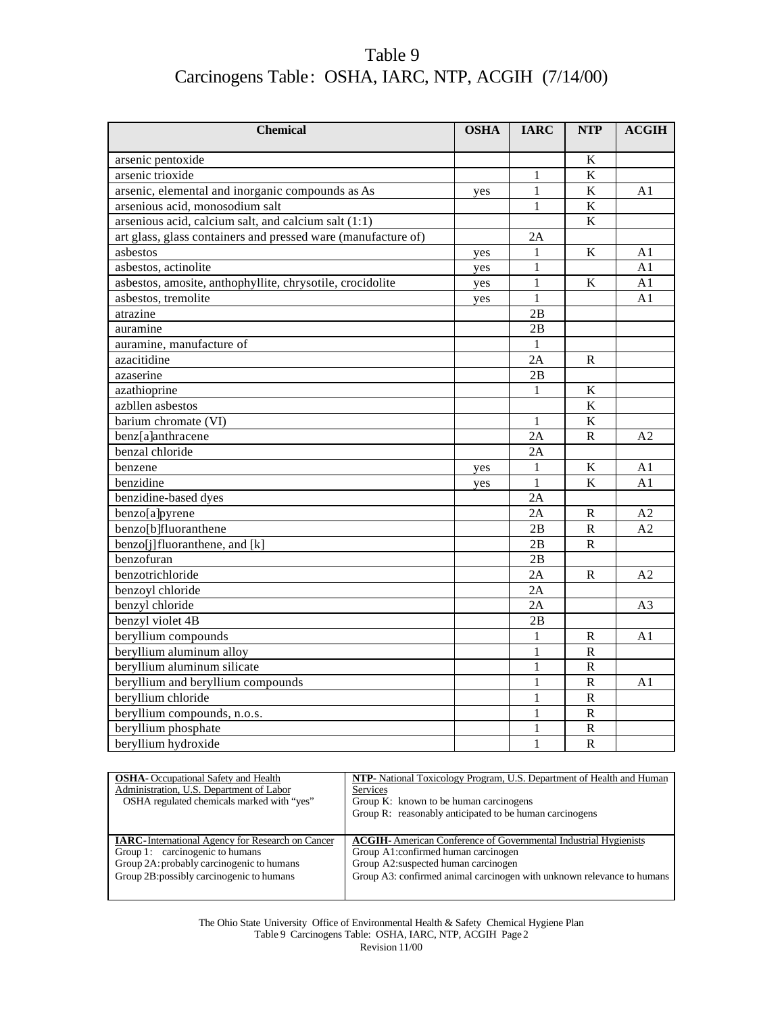| <b>Chemical</b>                                               | <b>OSHA</b> | <b>IARC</b>  | <b>NTP</b>              | ACGIH          |
|---------------------------------------------------------------|-------------|--------------|-------------------------|----------------|
|                                                               |             |              |                         |                |
| arsenic pentoxide                                             |             |              | $\overline{\mathbf{K}}$ |                |
| arsenic trioxide                                              |             | $\mathbf{1}$ | $\overline{\mathbf{K}}$ |                |
| arsenic, elemental and inorganic compounds as As              | yes         | $\mathbf{1}$ | $\overline{\mathbf{K}}$ | A <sub>1</sub> |
| arsenious acid, monosodium salt                               |             | $\mathbf{1}$ | $\bf K$                 |                |
| arsenious acid, calcium salt, and calcium salt $(1:1)$        |             |              | K                       |                |
| art glass, glass containers and pressed ware (manufacture of) |             | 2A           |                         |                |
| asbestos                                                      | yes         | 1            | K                       | A1             |
| asbestos, actinolite                                          | yes         | 1            |                         | A1             |
| asbestos, amosite, anthophyllite, chrysotile, crocidolite     | yes         | $\mathbf{1}$ | $\bf K$                 | A <sub>1</sub> |
| asbestos, tremolite                                           | yes         | 1            |                         | A <sub>1</sub> |
| atrazine                                                      |             | 2B           |                         |                |
| auramine                                                      |             | 2B           |                         |                |
| auramine, manufacture of                                      |             | $\mathbf{1}$ |                         |                |
| azacitidine                                                   |             | 2A           | $\mathbf{R}$            |                |
| azaserine                                                     |             | 2B           |                         |                |
| azathioprine                                                  |             | 1            | K                       |                |
| azbllen asbestos                                              |             |              | K                       |                |
| barium chromate (VI)                                          |             | $\mathbf{1}$ | $\overline{\mathbf{K}}$ |                |
| benz[a]anthracene                                             |             | 2A           | ${\bf R}$               | A <sub>2</sub> |
| benzal chloride                                               |             | 2A           |                         |                |
| benzene                                                       | yes         | 1            | K                       | A1             |
| benzidine                                                     | yes         | $\mathbf{1}$ | K                       | A <sub>1</sub> |
| benzidine-based dyes                                          |             | 2A           |                         |                |
| benzo[a]pyrene                                                |             | 2A           | ${\bf R}$               | A2             |
| benzo[b]fluoranthene                                          |             | 2B           | $\mathbb{R}$            | A2             |
| benzo[j]fluoranthene, and [k]                                 |             | 2B           | R                       |                |
| benzofuran                                                    |             | 2B           |                         |                |
| benzotrichloride                                              |             | 2A           | R                       | A <sub>2</sub> |
| benzoyl chloride                                              |             | 2A           |                         |                |
| benzyl chloride                                               |             | 2A           |                         | A3             |
| benzyl violet 4B                                              |             | 2B           |                         |                |
| beryllium compounds                                           |             | 1            | R                       | A1             |
| beryllium aluminum alloy                                      |             | $\mathbf{1}$ | ${\bf R}$               |                |
| beryllium aluminum silicate                                   |             | $\mathbf{1}$ | ${\bf R}$               |                |
| beryllium and beryllium compounds                             |             | $\mathbf{1}$ | $\mathbb{R}$            | A <sub>1</sub> |
| beryllium chloride                                            |             | $\mathbf{1}$ | ${\bf R}$               |                |
| beryllium compounds, n.o.s.                                   |             | $\mathbf{1}$ | ${\bf R}$               |                |
| beryllium phosphate                                           |             | $\mathbf{1}$ | ${\bf R}$               |                |
| beryllium hydroxide                                           |             | $\mathbf{1}$ | $\mathsf{R}$            |                |

| <b>OSHA-</b> Occupational Safety and Health              | NTP- National Toxicology Program, U.S. Department of Health and Human   |
|----------------------------------------------------------|-------------------------------------------------------------------------|
| Administration, U.S. Department of Labor                 | <b>Services</b>                                                         |
| OSHA regulated chemicals marked with "yes"               | Group K: known to be human carcinogens                                  |
|                                                          | Group R: reasonably anticipated to be human carcinogens                 |
|                                                          |                                                                         |
|                                                          |                                                                         |
| <b>IARC</b> -International Agency for Research on Cancer | <b>ACGIH-</b> American Conference of Governmental Industrial Hygienists |
| Group 1: carcinogenic to humans                          | Group A1:confirmed human carcinogen                                     |
| Group 2A: probably carcinogenic to humans                | Group A2: suspected human carcinogen                                    |
| Group 2B: possibly carcinogenic to humans                | Group A3: confirmed animal carcinogen with unknown relevance to humans  |
|                                                          |                                                                         |

The Ohio State University Office of Environmental Health & Safety Chemical Hygiene Plan Table 9 Carcinogens Table: OSHA, IARC, NTP, ACGIH Page 2 Revision 11/00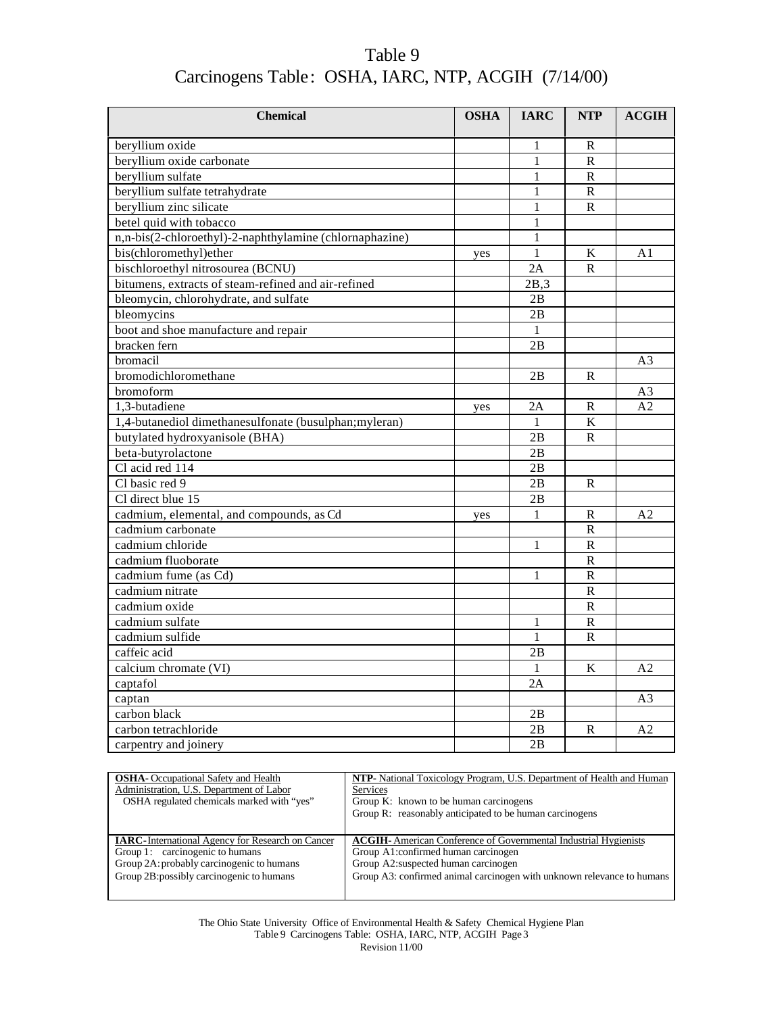| Table 9                                             |  |
|-----------------------------------------------------|--|
| Carcinogens Table: OSHA, IARC, NTP, ACGIH (7/14/00) |  |

| <b>Chemical</b>                                         | <b>OSHA</b> | <b>IARC</b>  | <b>NTP</b>              | <b>ACGIH</b>   |
|---------------------------------------------------------|-------------|--------------|-------------------------|----------------|
| beryllium oxide                                         |             | 1            | $\mathbb{R}$            |                |
| beryllium oxide carbonate                               |             | $\mathbf{1}$ | $\mathbf R$             |                |
| beryllium sulfate                                       |             | 1            | R                       |                |
| beryllium sulfate tetrahydrate                          |             | 1            | $\mathbf R$             |                |
| beryllium zinc silicate                                 |             | $\mathbf{1}$ | $\mathbf R$             |                |
| betel quid with tobacco                                 |             | $\mathbf{1}$ |                         |                |
|                                                         |             |              |                         |                |
| n,n-bis(2-chloroethyl)-2-naphthylamine (chlornaphazine) |             | 1            |                         |                |
| bis(chloromethyl)ether                                  | yes         | $\mathbf{1}$ | $\mathbf K$             | A1             |
| bischloroethyl nitrosourea (BCNU)                       |             | 2A           | $\mathbb{R}$            |                |
| bitumens, extracts of steam-refined and air-refined     |             | 2B.3         |                         |                |
| bleomycin, chlorohydrate, and sulfate                   |             | 2B           |                         |                |
| bleomycins                                              |             | 2B           |                         |                |
| boot and shoe manufacture and repair                    |             | 1            |                         |                |
| bracken fern                                            |             | 2B           |                         |                |
| bromacil                                                |             |              |                         | A <sub>3</sub> |
| bromodichloromethane                                    |             | 2B           | R                       |                |
| bromoform                                               |             |              |                         | A <sub>3</sub> |
| 1,3-butadiene                                           | yes         | 2A           | ${\bf R}$               | A <sub>2</sub> |
| 1,4-butanediol dimethanesulfonate (busulphan; myleran)  |             | 1            | $\bf K$                 |                |
| butylated hydroxyanisole (BHA)                          |             | 2B           | R                       |                |
| beta-butyrolactone                                      |             | 2B           |                         |                |
| Cl acid red 114                                         |             | 2B           |                         |                |
| Cl basic red 9                                          |             | 2B           | $\mathbf{R}$            |                |
| Cl direct blue 15                                       |             | 2B           |                         |                |
| cadmium, elemental, and compounds, as Cd                | yes         | 1            | R                       | A2             |
| cadmium carbonate                                       |             |              | $\mathbf R$             |                |
| cadmium chloride                                        |             | 1            | $\overline{\mathsf{R}}$ |                |
| cadmium fluoborate                                      |             |              | $\mathbf R$             |                |
| cadmium fume (as Cd)                                    |             | 1            | $\mathbf R$             |                |
| cadmium nitrate                                         |             |              | $\mathbb{R}$            |                |
| cadmium oxide                                           |             |              | $\mathbf R$             |                |
| cadmium sulfate                                         |             | 1            | $\overline{R}$          |                |
| cadmium sulfide                                         |             | $\mathbf{1}$ | $\mathbf R$             |                |
| caffeic acid                                            |             | 2В           |                         |                |
| calcium chromate (VI)                                   |             | 1            | K                       | A <sub>2</sub> |
| captafol                                                |             | 2A           |                         |                |
| captan                                                  |             |              |                         | A <sub>3</sub> |
| carbon black                                            |             | 2B           |                         |                |
| carbon tetrachloride                                    |             | 2B           | R                       | A <sub>2</sub> |
| carpentry and joinery                                   |             | 2B           |                         |                |

| <b>OSHA</b> - Occupational Safety and Health             | <b>NTP-</b> National Toxicology Program, U.S. Department of Health and Human |
|----------------------------------------------------------|------------------------------------------------------------------------------|
| Administration, U.S. Department of Labor                 | Services                                                                     |
| OSHA regulated chemicals marked with "yes"               | Group K: known to be human carcinogens                                       |
|                                                          | Group R: reasonably anticipated to be human carcinogens                      |
|                                                          |                                                                              |
|                                                          |                                                                              |
| <b>IARC</b> -International Agency for Research on Cancer | <b>ACGIH-</b> American Conference of Governmental Industrial Hygienists      |
| Group 1: carcinogenic to humans                          | Group A1:confirmed human carcinogen                                          |
| Group 2A: probably carcinogenic to humans                | Group A2: suspected human carcinogen                                         |
| Group 2B: possibly carcinogenic to humans                | Group A3: confirmed animal carcinogen with unknown relevance to humans       |
|                                                          |                                                                              |

The Ohio State University Office of Environmental Health & Safety Chemical Hygiene Plan Table 9 Carcinogens Table: OSHA, IARC, NTP, ACGIH Page 3 Revision 11/00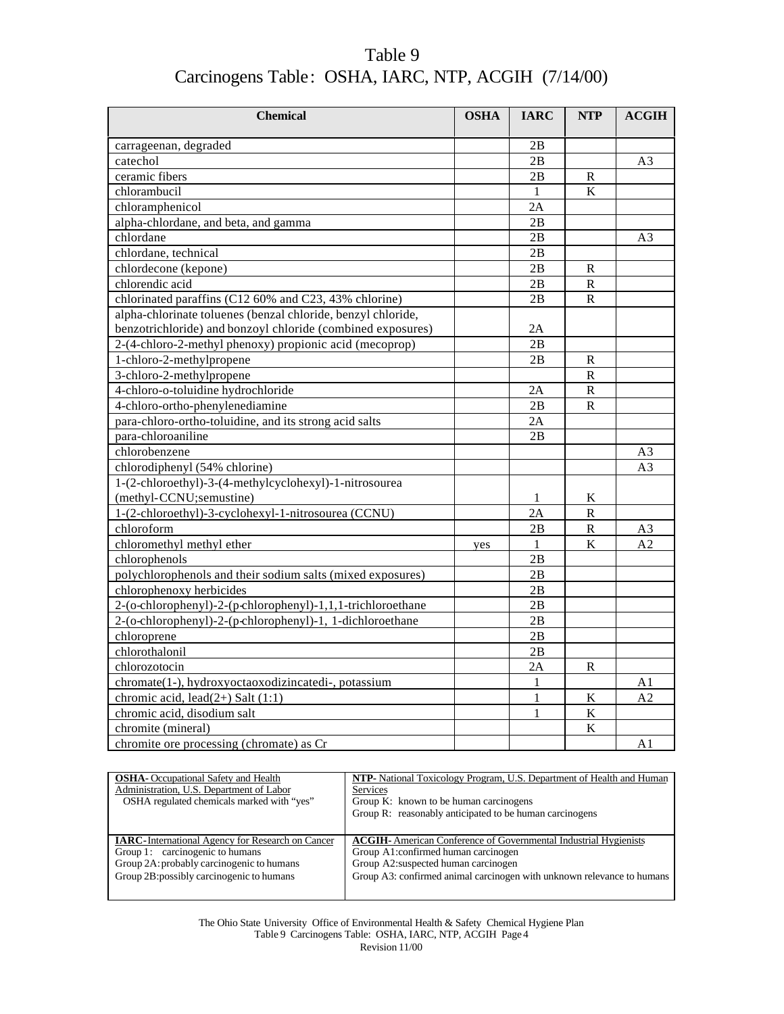| Table 9                                             |  |
|-----------------------------------------------------|--|
| Carcinogens Table: OSHA, IARC, NTP, ACGIH (7/14/00) |  |

| <b>Chemical</b>                                                                        | <b>OSHA</b> | <b>IARC</b>  | <b>NTP</b>   | <b>ACGIH</b>         |
|----------------------------------------------------------------------------------------|-------------|--------------|--------------|----------------------|
| carrageenan, degraded                                                                  |             | 2B           |              |                      |
| catechol                                                                               |             | 2B           |              | A <sub>3</sub>       |
| ceramic fibers                                                                         |             | 2B           | R            |                      |
| chlorambucil                                                                           |             | 1            | K            |                      |
| chloramphenicol                                                                        |             | 2A           |              |                      |
| alpha-chlordane, and beta, and gamma                                                   |             | 2B           |              |                      |
| chlordane                                                                              |             | 2B           |              | A <sub>3</sub>       |
| chlordane, technical                                                                   |             | 2B           |              |                      |
| chlordecone (kepone)                                                                   |             | 2B           | $\mathbb{R}$ |                      |
| chlorendic acid                                                                        |             | 2B           | ${\bf R}$    |                      |
| chlorinated paraffins (C12 60% and C23, 43% chlorine)                                  |             | 2B           | $\mathbf R$  |                      |
| alpha-chlorinate toluenes (benzal chloride, benzyl chloride,                           |             |              |              |                      |
| benzotrichloride) and bonzoyl chloride (combined exposures)                            |             | 2Α           |              |                      |
| 2-(4-chloro-2-methyl phenoxy) propionic acid (mecoprop)                                |             | 2B           |              |                      |
| 1-chloro-2-methylpropene                                                               |             | 2B           | $\mathbf{R}$ |                      |
| 3-chloro-2-methylpropene                                                               |             |              | ${\bf R}$    |                      |
| 4-chloro-o-toluidine hydrochloride                                                     |             | 2A           | R            |                      |
| 4-chloro-ortho-phenylenediamine                                                        |             | 2B           | $\mathbf R$  |                      |
| para-chloro-ortho-toluidine, and its strong acid salts                                 |             | 2A           |              |                      |
| para-chloroaniline                                                                     |             | 2B           |              |                      |
| chlorobenzene                                                                          |             |              |              | A3                   |
| chlorodiphenyl (54% chlorine)                                                          |             |              |              | A <sub>3</sub>       |
| 1-(2-chloroethyl)-3-(4-methylcyclohexyl)-1-nitrosourea                                 |             |              |              |                      |
| (methyl-CCNU;semustine)                                                                |             | $\mathbf{1}$ | K            |                      |
| 1-(2-chloroethyl)-3-cyclohexyl-1-nitrosourea (CCNU)                                    |             | 2A           | ${\bf R}$    |                      |
| chloroform                                                                             |             | 2B           | ${\bf R}$    |                      |
| chloromethyl methyl ether                                                              |             | $\mathbf{1}$ | K            | A3<br>A <sub>2</sub> |
| chlorophenols                                                                          | yes         | 2B           |              |                      |
|                                                                                        |             | 2B           |              |                      |
| polychlorophenols and their sodium salts (mixed exposures)<br>chlorophenoxy herbicides |             |              |              |                      |
|                                                                                        |             | 2B           |              |                      |
| 2-(o-chlorophenyl)-2-(p-chlorophenyl)-1,1,1-trichloroethane                            |             | 2B<br>2B     |              |                      |
| 2-(o-chlorophenyl)-2-(p-chlorophenyl)-1, 1-dichloroethane                              |             |              |              |                      |
| chloroprene                                                                            |             | 2B           |              |                      |
| chlorothalonil                                                                         |             | 2B           |              |                      |
| chlorozotocin                                                                          |             | 2A           | R            |                      |
| chromate(1-), hydroxyoctaoxodizincatedi-, potassium                                    |             | $\mathbf{1}$ |              | A1                   |
| chromic acid, lead $(2+)$ Salt $(1:1)$                                                 |             | $\mathbf{1}$ | $\rm K$      | A <sub>2</sub>       |
| chromic acid, disodium salt                                                            |             | 1            | $\bf K$      |                      |
| chromite (mineral)                                                                     |             |              | K            |                      |
| chromite ore processing (chromate) as Cr                                               |             |              |              | A1                   |

| <b>OSHA</b> -Occupational Safety and Health              | NTP- National Toxicology Program, U.S. Department of Health and Human   |
|----------------------------------------------------------|-------------------------------------------------------------------------|
| Administration, U.S. Department of Labor                 | <b>Services</b>                                                         |
| OSHA regulated chemicals marked with "yes"               | Group K: known to be human carcinogens                                  |
|                                                          | Group R: reasonably anticipated to be human carcinogens                 |
|                                                          |                                                                         |
|                                                          |                                                                         |
| <b>IARC</b> -International Agency for Research on Cancer | <b>ACGIH-</b> American Conference of Governmental Industrial Hygienists |
| Group 1: carcinogenic to humans                          | Group A1:confirmed human carcinogen                                     |
| Group 2A: probably carcinogenic to humans                | Group A2: suspected human carcinogen                                    |
| Group 2B: possibly carcinogenic to humans                | Group A3: confirmed animal carcinogen with unknown relevance to humans  |
|                                                          |                                                                         |

The Ohio State University Office of Environmental Health & Safety Chemical Hygiene Plan Table 9 Carcinogens Table: OSHA, IARC, NTP, ACGIH Page 4 Revision 11/00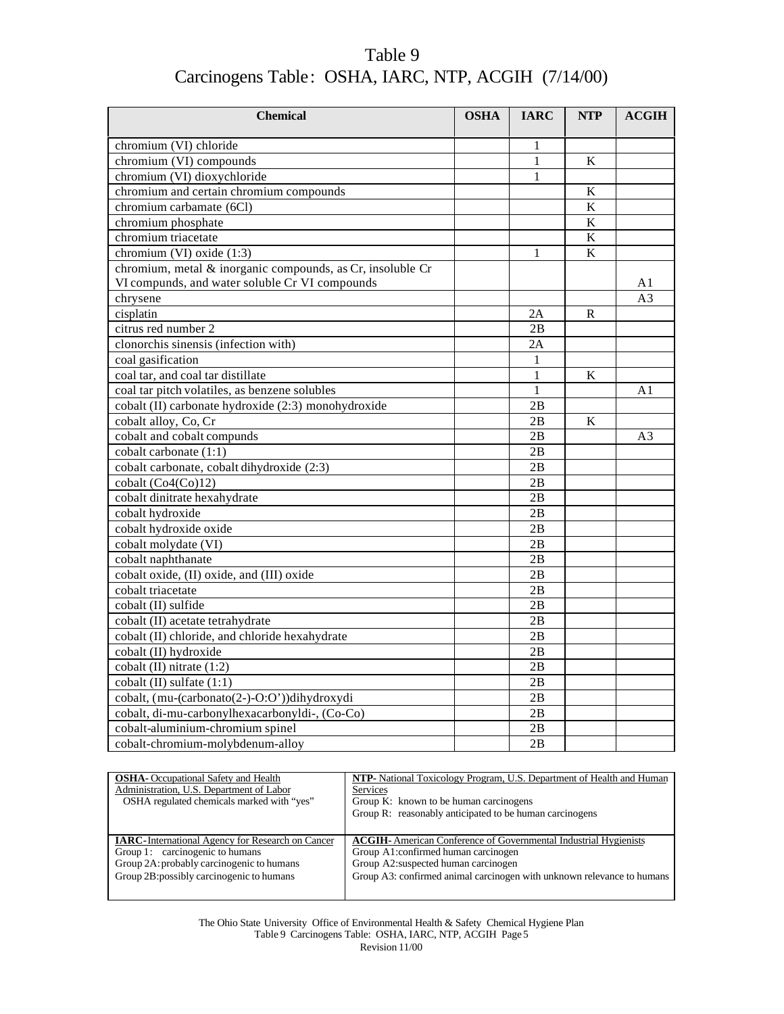| Table 9                                             |  |
|-----------------------------------------------------|--|
| Carcinogens Table: OSHA, IARC, NTP, ACGIH (7/14/00) |  |

| <b>Chemical</b>                                            | <b>OSHA</b> | <b>IARC</b>  | <b>NTP</b>              | ACGIH          |
|------------------------------------------------------------|-------------|--------------|-------------------------|----------------|
| chromium (VI) chloride                                     |             | 1            |                         |                |
| chromium (VI) compounds                                    |             | $\mathbf{1}$ | K                       |                |
| chromium (VI) dioxychloride                                |             | 1            |                         |                |
| chromium and certain chromium compounds                    |             |              | K                       |                |
| chromium carbamate (6Cl)                                   |             |              | $\overline{\mathbf{K}}$ |                |
| chromium phosphate                                         |             |              | $\bf K$                 |                |
| chromium triacetate                                        |             |              | $\rm K$                 |                |
| chromium (VI) oxide (1:3)                                  |             | 1            | $\bf K$                 |                |
| chromium, metal & inorganic compounds, as Cr, insoluble Cr |             |              |                         |                |
| VI compunds, and water soluble Cr VI compounds             |             |              |                         | A1             |
| chrysene                                                   |             |              |                         | A <sub>3</sub> |
| cisplatin                                                  |             | 2A           | R                       |                |
| citrus red number 2                                        |             | 2B           |                         |                |
| clonorchis sinensis (infection with)                       |             | 2A           |                         |                |
| coal gasification                                          |             | 1            |                         |                |
| coal tar, and coal tar distillate                          |             | 1            | K                       |                |
| coal tar pitch volatiles, as benzene solubles              |             | 1            |                         | A1             |
| cobalt (II) carbonate hydroxide (2:3) monohydroxide        |             | 2B           |                         |                |
| cobalt alloy, Co, Cr                                       |             | 2B           | K                       |                |
| cobalt and cobalt compunds                                 |             | 2B           |                         | A <sub>3</sub> |
| cobalt carbonate (1:1)                                     |             | 2B           |                         |                |
| cobalt carbonate, cobalt dihydroxide (2:3)                 |             | 2B           |                         |                |
| cobalt (Co4(Co)12)                                         |             | 2B           |                         |                |
| cobalt dinitrate hexahydrate                               |             | 2B           |                         |                |
| cobalt hydroxide                                           |             | 2B           |                         |                |
| cobalt hydroxide oxide                                     |             | 2B           |                         |                |
| cobalt molydate (VI)                                       |             | 2B           |                         |                |
| cobalt naphthanate                                         |             | 2B           |                         |                |
| cobalt oxide, (II) oxide, and (III) oxide                  |             | 2B           |                         |                |
| cobalt triacetate                                          |             | 2B           |                         |                |
| cobalt (II) sulfide                                        |             | 2B           |                         |                |
| cobalt (II) acetate tetrahydrate                           |             | 2B           |                         |                |
| cobalt (II) chloride, and chloride hexahydrate             |             | 2B           |                         |                |
| cobalt (II) hydroxide                                      |             | 2B           |                         |                |
| cobalt (II) nitrate (1:2)                                  |             | 2B           |                         |                |
| cobalt (II) sulfate (1:1)                                  |             | 2B           |                         |                |
| cobalt, (mu-(carbonato(2-)-O:O'))dihydroxydi               |             | 2B           |                         |                |
| cobalt, di-mu-carbonylhexacarbonyldi-, (Co-Co)             |             | 2B           |                         |                |
| cobalt-aluminium-chromium spinel                           |             | 2B           |                         |                |
| cobalt-chromium-molybdenum-alloy                           |             | 2B           |                         |                |

| <b>OSHA</b> -Occupational Safety and Health              | <b>NTP-</b> National Toxicology Program, U.S. Department of Health and Human |
|----------------------------------------------------------|------------------------------------------------------------------------------|
| Administration, U.S. Department of Labor                 | <b>Services</b>                                                              |
| OSHA regulated chemicals marked with "yes"               | Group K: known to be human carcinogens                                       |
|                                                          | Group R: reasonably anticipated to be human carcinogens                      |
|                                                          |                                                                              |
| <b>IARC</b> -International Agency for Research on Cancer | <b>ACGIH-</b> American Conference of Governmental Industrial Hygienists      |
| Group 1: carcinogenic to humans                          | Group A1:confirmed human carcinogen                                          |
| Group 2A: probably carcinogenic to humans                | Group A2: suspected human carcinogen                                         |
| Group 2B: possibly carcinogenic to humans                | Group A3: confirmed animal carcinogen with unknown relevance to humans       |
|                                                          |                                                                              |

The Ohio State University Office of Environmental Health & Safety Chemical Hygiene Plan Table 9 Carcinogens Table: OSHA, IARC, NTP, ACGIH Page 5 Revision 11/00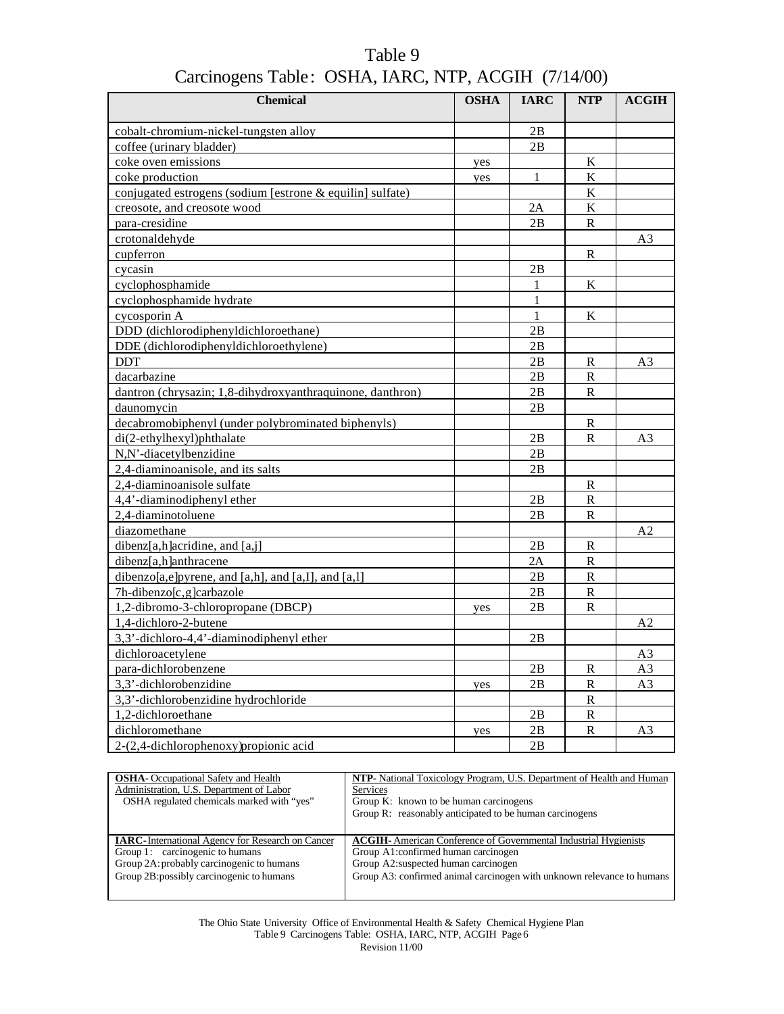| <b>Chemical</b>                                           | <b>OSHA</b> | <b>IARC</b>  | <b>NTP</b>            | <b>ACGIH</b>   |
|-----------------------------------------------------------|-------------|--------------|-----------------------|----------------|
| cobalt-chromium-nickel-tungsten alloy                     |             | 2B           |                       |                |
| coffee (urinary bladder)                                  |             | 2B           |                       |                |
| coke oven emissions                                       | yes         |              | K                     |                |
| coke production                                           | yes         | $\mathbf{1}$ | $\bf K$               |                |
| conjugated estrogens (sodium [estrone & equilin] sulfate) |             |              | $\bf K$               |                |
| creosote, and creosote wood                               |             | 2A           | K                     |                |
| para-cresidine                                            |             | 2B           | $\mathbb{R}$          |                |
| crotonaldehyde                                            |             |              |                       | A3             |
| cupferron                                                 |             |              | R                     |                |
| cycasin                                                   |             | 2B           |                       |                |
| cyclophosphamide                                          |             | 1            | K                     |                |
| cyclophosphamide hydrate                                  |             | $\mathbf{1}$ |                       |                |
| cycosporin A                                              |             | 1            | K                     |                |
| DDD (dichlorodiphenyldichloroethane)                      |             | 2Β           |                       |                |
| DDE (dichlorodiphenyldichloroethylene)                    |             | 2B           |                       |                |
| <b>DDT</b>                                                |             | 2B           | $\mathbf R$           | A3             |
| dacarbazine                                               |             | 2B           | $\mathbb{R}$          |                |
| dantron (chrysazin; 1,8-dihydroxyanthraquinone, danthron) |             | 2B           | $\mathbb{R}$          |                |
| daunomycin                                                |             | 2B           |                       |                |
| decabromobiphenyl (under polybrominated biphenyls)        |             |              | R                     |                |
| di(2-ethylhexyl)phthalate                                 |             | 2B           | R                     | A3             |
| N,N'-diacetylbenzidine                                    |             | 2B           |                       |                |
| 2,4-diaminoanisole, and its salts                         |             | 2B           |                       |                |
| 2,4-diaminoanisole sulfate                                |             |              | $\mathbb{R}$          |                |
| 4.4'-diaminodiphenyl ether                                |             | 2B           | R                     |                |
| 2.4-diaminotoluene                                        |             | 2B           | R                     |                |
| diazomethane                                              |             |              |                       | A <sub>2</sub> |
| dibenz[a,h]acridine, and [a,j]                            |             | 2B           | R                     |                |
| dibenz[a,h]anthracene                                     |             | 2A           | $\mathbb R$           |                |
| dibenzo[a,e]pyrene, and [a,h], and [a,I], and [a,l]       |             | 2B           | $\overline{\text{R}}$ |                |
| 7h-dibenzo[c,g]carbazole                                  |             | 2B           | $\overline{\text{R}}$ |                |
| 1,2-dibromo-3-chloropropane (DBCP)                        | yes         | 2B           | R                     |                |
| 1,4-dichloro-2-butene                                     |             |              |                       | A2             |
| 3,3'-dichloro-4,4'-diaminodiphenyl ether                  |             | 2B           |                       |                |
| dichloroacetylene                                         |             |              |                       | A3             |
| para-dichlorobenzene                                      |             | 2В           | R                     | A3             |
| 3,3'-dichlorobenzidine                                    | yes         | 2B           | R                     | A <sub>3</sub> |
| 3,3'-dichlorobenzidine hydrochloride                      |             |              | ${\bf R}$             |                |
| 1,2-dichloroethane                                        |             | 2B           | R                     |                |
| dichloromethane                                           | yes         | 2B           | R                     | A3             |
| 2-(2,4-dichlorophenoxy) propionic acid                    |             | 2B           |                       |                |

| <b>OSHA</b> -Occupational Safety and Health              | NTP- National Toxicology Program, U.S. Department of Health and Human   |
|----------------------------------------------------------|-------------------------------------------------------------------------|
| Administration, U.S. Department of Labor                 | Services                                                                |
| OSHA regulated chemicals marked with "yes"               | Group K: known to be human carcinogens                                  |
|                                                          | Group R: reasonably anticipated to be human carcinogens                 |
|                                                          |                                                                         |
|                                                          |                                                                         |
| <b>IARC</b> -International Agency for Research on Cancer | <b>ACGIH-</b> American Conference of Governmental Industrial Hygienists |
| Group 1: carcinogenic to humans                          | Group A1:confirmed human carcinogen                                     |
| Group 2A: probably carcinogenic to humans                | Group A2: suspected human carcinogen                                    |
| Group 2B: possibly carcinogenic to humans                |                                                                         |
|                                                          | Group A3: confirmed animal carcinogen with unknown relevance to humans  |

The Ohio State University Office of Environmental Health & Safety Chemical Hygiene Plan Table 9 Carcinogens Table: OSHA, IARC, NTP, ACGIH Page 6 Revision 11/00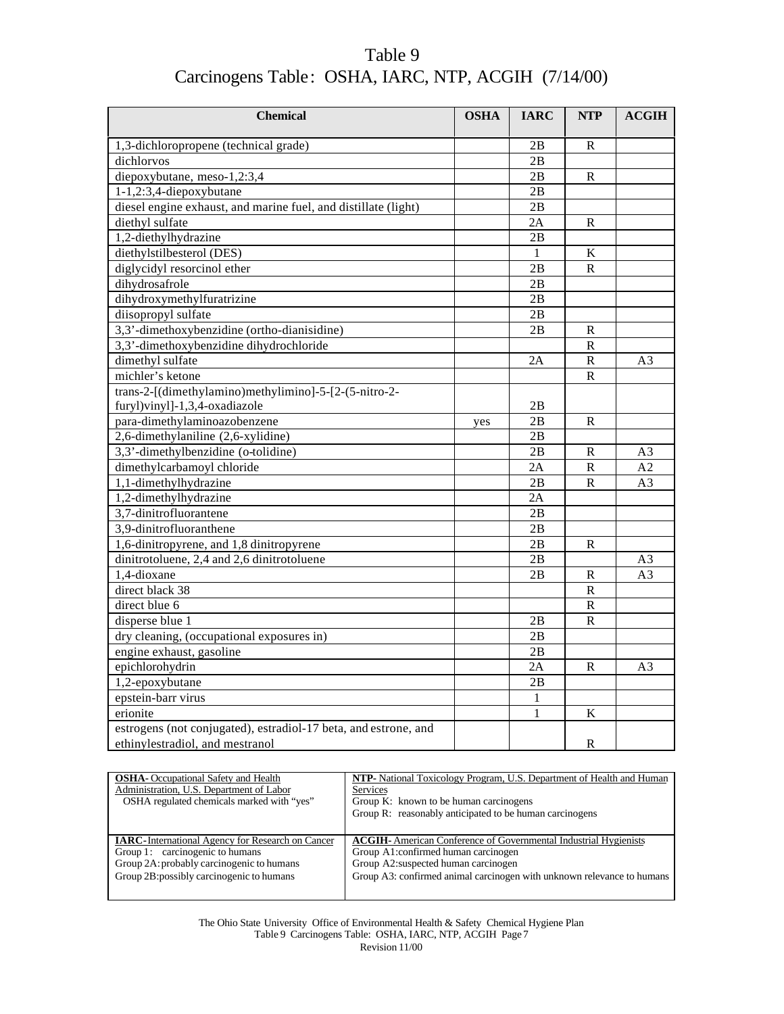| <b>Chemical</b>                                                 | <b>OSHA</b> | <b>IARC</b> | <b>NTP</b>              | ACGIH          |
|-----------------------------------------------------------------|-------------|-------------|-------------------------|----------------|
| 1,3-dichloropropene (technical grade)                           |             | 2B          | R                       |                |
| dichlorvos                                                      |             | 2B          |                         |                |
| diepoxybutane, meso-1,2:3,4                                     |             | 2B          | $\mathbb{R}$            |                |
| 1-1,2:3,4-diepoxybutane                                         |             | 2B          |                         |                |
| diesel engine exhaust, and marine fuel, and distillate (light)  |             | 2B          |                         |                |
| diethyl sulfate                                                 |             | 2A          | $\mathbb{R}$            |                |
| 1,2-diethylhydrazine                                            |             | 2B          |                         |                |
| diethylstilbesterol (DES)                                       |             | 1           | $\rm K$                 |                |
| diglycidyl resorcinol ether                                     |             | 2B          | $\overline{\text{R}}$   |                |
| dihydrosafrole                                                  |             | 2B          |                         |                |
| dihydroxymethylfuratrizine                                      |             | 2B          |                         |                |
| diisopropyl sulfate                                             |             | 2B          |                         |                |
| 3,3'-dimethoxybenzidine (ortho-dianisidine)                     |             | 2B          | $\mathbb{R}$            |                |
| 3,3'-dimethoxybenzidine dihydrochloride                         |             |             | $\mathbf R$             |                |
| dimethyl sulfate                                                |             | 2A          | ${\bf R}$               | A3             |
| michler's ketone                                                |             |             | $\mathbb{R}$            |                |
| trans-2-[(dimethylamino)methylimino]-5-[2-(5-nitro-2-           |             |             |                         |                |
| furyl)vinyl]-1,3,4-oxadiazole                                   |             | 2B          |                         |                |
| para-dimethylaminoazobenzene                                    | yes         | 2B          | $\mathbb{R}$            |                |
| 2,6-dimethylaniline (2,6-xylidine)                              |             | 2B          |                         |                |
| 3,3'-dimethylbenzidine (o-tolidine)                             |             | 2B          | R                       | A <sub>3</sub> |
| dimethylcarbamoyl chloride                                      |             | 2A          | $\overline{\mathbf{R}}$ | A <sub>2</sub> |
| 1,1-dimethylhydrazine                                           |             | 2B          | $\mathbf R$             | A3             |
| 1,2-dimethylhydrazine                                           |             | 2A          |                         |                |
| 3,7-dinitrofluorantene                                          |             | 2B          |                         |                |
| 3,9-dinitrofluoranthene                                         |             | 2B          |                         |                |
| 1,6-dinitropyrene, and 1,8 dinitropyrene                        |             | 2B          | $\mathbb{R}$            |                |
| dinitrotoluene, 2,4 and 2,6 dinitrotoluene                      |             | 2B          |                         | A <sub>3</sub> |
| 1,4-dioxane                                                     |             | 2B          | $\mathbb{R}$            | A <sub>3</sub> |
| direct black 38                                                 |             |             | ${\bf R}$               |                |
| direct blue 6                                                   |             |             | ${\bf R}$               |                |
| disperse blue 1                                                 |             | 2B          | $\mathbb{R}$            |                |
| dry cleaning, (occupational exposures in)                       |             | 2B          |                         |                |
| engine exhaust, gasoline                                        |             | 2B          |                         |                |
| epichlorohydrin                                                 |             | 2A          | $\mathbb{R}$            | A <sub>3</sub> |
| 1,2-epoxybutane                                                 |             | 2B          |                         |                |
| epstein-barr virus                                              |             | $\mathbf 1$ |                         |                |
| erionite                                                        |             | 1           | K                       |                |
| estrogens (not conjugated), estradiol-17 beta, and estrone, and |             |             |                         |                |
| ethinylestradiol, and mestranol                                 |             |             | ${\bf R}$               |                |

| <b>OSHA</b> -Occupational Safety and Health              | <b>NTP-</b> National Toxicology Program, U.S. Department of Health and Human |
|----------------------------------------------------------|------------------------------------------------------------------------------|
| Administration, U.S. Department of Labor                 | <b>Services</b>                                                              |
| OSHA regulated chemicals marked with "yes"               | Group K: known to be human carcinogens                                       |
|                                                          | Group R: reasonably anticipated to be human carcinogens                      |
|                                                          |                                                                              |
|                                                          |                                                                              |
| <b>IARC</b> -International Agency for Research on Cancer | <b>ACGIH-</b> American Conference of Governmental Industrial Hygienists      |
| Group 1: carcinogenic to humans                          | Group A1:confirmed human carcinogen                                          |
| Group 2A: probably carcinogenic to humans                | Group A2: suspected human carcinogen                                         |
| Group 2B: possibly carcinogenic to humans                | Group A3: confirmed animal carcinogen with unknown relevance to humans       |
|                                                          |                                                                              |

The Ohio State University Office of Environmental Health & Safety Chemical Hygiene Plan Table 9 Carcinogens Table: OSHA, IARC, NTP, ACGIH Page 7 Revision 11/00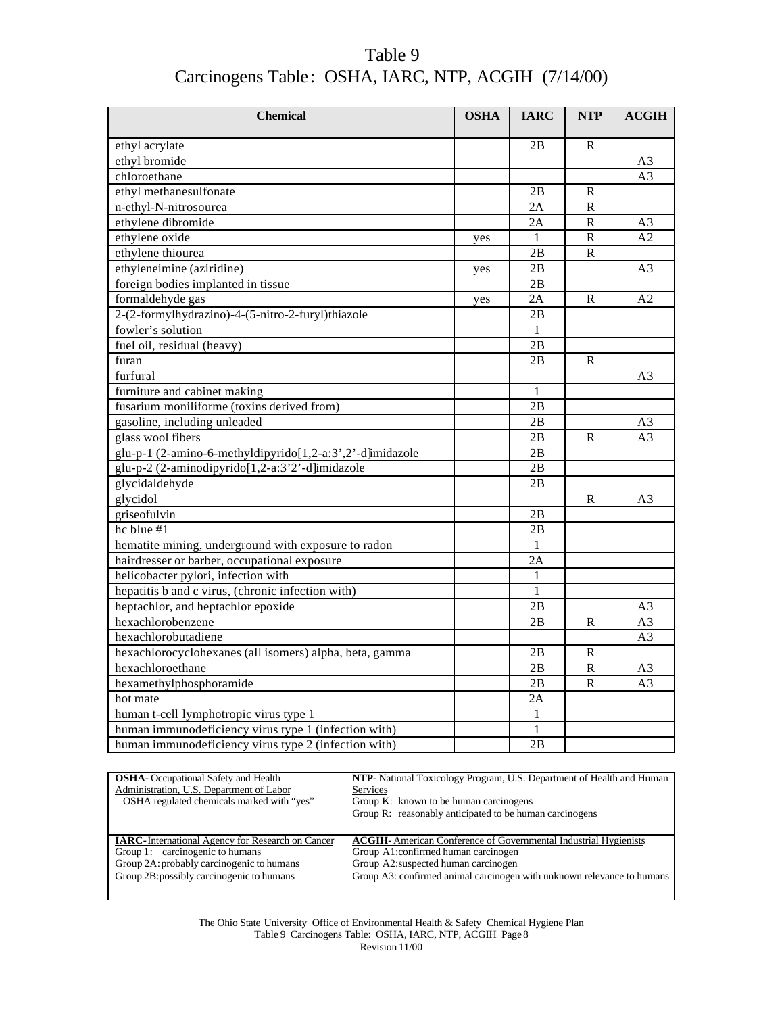| Table 9                                             |  |
|-----------------------------------------------------|--|
| Carcinogens Table: OSHA, IARC, NTP, ACGIH (7/14/00) |  |

| <b>Chemical</b>                                           | <b>OSHA</b> | <b>IARC</b>   | <b>NTP</b>   | <b>ACGIH</b>   |
|-----------------------------------------------------------|-------------|---------------|--------------|----------------|
| ethyl acrylate                                            |             | 2B            | R            |                |
| ethyl bromide                                             |             |               |              | A <sub>3</sub> |
| chloroethane                                              |             |               |              | A <sub>3</sub> |
| ethyl methanesulfonate                                    |             | 2B            | $\mathbb{R}$ |                |
| n-ethyl-N-nitrosourea                                     |             | 2A            | ${\bf R}$    |                |
| ethylene dibromide                                        |             | 2A            | ${\bf R}$    | A <sub>3</sub> |
| ethylene oxide                                            | yes         | 1             | ${\bf R}$    | A <sub>2</sub> |
| ethylene thiourea                                         |             | 2B            | $\mathbb{R}$ |                |
| ethyleneimine (aziridine)                                 | yes         | 2B            |              | A <sub>3</sub> |
| foreign bodies implanted in tissue                        |             | 2B            |              |                |
| formaldehyde gas                                          | yes         | 2A            | $\mathbf R$  | A2             |
| 2-(2-formylhydrazino)-4-(5-nitro-2-furyl)thiazole         |             | 2B            |              |                |
| fowler's solution                                         |             | $\mathbf{1}$  |              |                |
| fuel oil, residual (heavy)                                |             | 2B            |              |                |
| furan                                                     |             | 2B            | $\mathbb{R}$ |                |
| furfural                                                  |             |               |              | A3             |
| furniture and cabinet making                              |             | 1             |              |                |
| fusarium moniliforme (toxins derived from)                |             | 2B            |              |                |
| gasoline, including unleaded                              |             | 2B            |              | A3             |
| glass wool fibers                                         |             | 2B            | $\mathbb{R}$ | A <sub>3</sub> |
| glu-p-1 (2-amino-6-methyldipyrido[1,2-a:3',2'-d]imidazole |             | $2\mathbf{B}$ |              |                |
| glu-p-2 (2-aminodipyrido[1,2-a:3'2'-d]imidazole           |             | 2B            |              |                |
| glycidaldehyde                                            |             | 2B            |              |                |
| glycidol                                                  |             |               | $\mathsf{R}$ | A <sub>3</sub> |
| griseofulvin                                              |             | 2B            |              |                |
| hc blue $\frac{1}{11}$                                    |             | 2B            |              |                |
| hematite mining, underground with exposure to radon       |             | $\mathbf{1}$  |              |                |
| hairdresser or barber, occupational exposure              |             | 2A            |              |                |
| helicobacter pylori, infection with                       |             | 1             |              |                |
| hepatitis b and c virus, (chronic infection with)         |             | 1             |              |                |
| heptachlor, and heptachlor epoxide                        |             | 2B            |              | A3             |
| hexachlorobenzene                                         |             | 2B            | $\mathbf R$  | A <sub>3</sub> |
| hexachlorobutadiene                                       |             |               |              | A3             |
| hexachlorocyclohexanes (all isomers) alpha, beta, gamma   |             | 2B            | R            |                |
| hexachloroethane                                          |             | 2B            | ${\bf R}$    | A <sub>3</sub> |
| hexamethylphosphoramide                                   |             | 2B            | ${\bf R}$    | A <sub>3</sub> |
| hot mate                                                  |             | 2A            |              |                |
| human t-cell lymphotropic virus type 1                    |             | 1             |              |                |
| human immunodeficiency virus type 1 (infection with)      |             | 1             |              |                |
| human immunodeficiency virus type 2 (infection with)      |             | 2B            |              |                |

| <b>OSHA</b> - Occupational Safety and Health             | NTP- National Toxicology Program, U.S. Department of Health and Human   |
|----------------------------------------------------------|-------------------------------------------------------------------------|
| Administration, U.S. Department of Labor                 | <b>Services</b>                                                         |
| OSHA regulated chemicals marked with "yes"               | Group K: known to be human carcinogens                                  |
|                                                          | Group R: reasonably anticipated to be human carcinogens                 |
|                                                          |                                                                         |
| <b>IARC</b> -International Agency for Research on Cancer | <b>ACGIH-</b> American Conference of Governmental Industrial Hygienists |
| Group 1: carcinogenic to humans                          | Group A1: confirmed human carcinogen                                    |
| Group 2A: probably carcinogenic to humans                | Group A2: suspected human carcinogen                                    |
| Group 2B: possibly carcinogenic to humans                | Group A3: confirmed animal carcinogen with unknown relevance to humans  |
|                                                          |                                                                         |

The Ohio State University Office of Environmental Health & Safety Chemical Hygiene Plan Table 9 Carcinogens Table: OSHA, IARC, NTP, ACGIH Page 8 Revision 11/00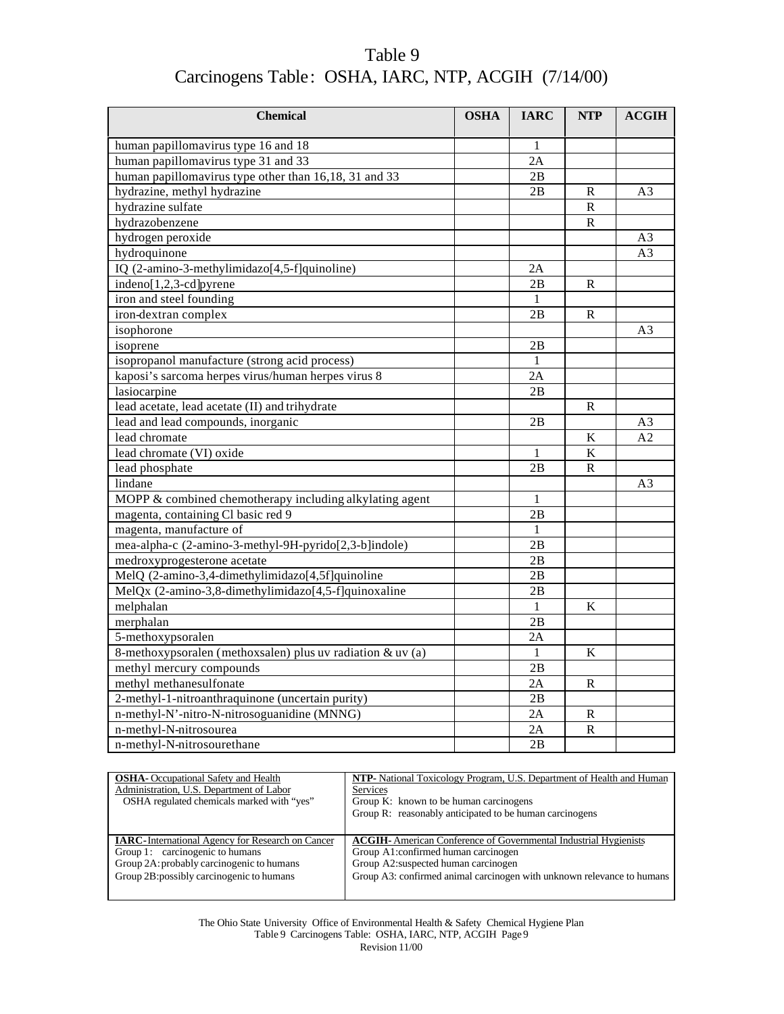| <b>Chemical</b>                                            | <b>OSHA</b> | <b>IARC</b>  | <b>NTP</b>     | ACGIH          |
|------------------------------------------------------------|-------------|--------------|----------------|----------------|
| human papillomavirus type 16 and 18                        |             |              |                |                |
| human papillomavirus type 31 and 33                        |             | 2A           |                |                |
|                                                            |             | 2B           |                |                |
| human papillomavirus type other than 16,18, 31 and 33      |             |              |                |                |
| hydrazine, methyl hydrazine                                |             | 2B           | R<br>${\bf R}$ | A <sub>3</sub> |
| hydrazine sulfate                                          |             |              |                |                |
| hydrazobenzene                                             |             |              | $\mathbb{R}$   |                |
| hydrogen peroxide                                          |             |              |                | A <sub>3</sub> |
| hydroquinone                                               |             |              |                | A <sub>3</sub> |
| IQ (2-amino-3-methylimidazo[4,5-f]quinoline)               |             | 2A           |                |                |
| indeno[1,2,3-cd]pyrene                                     |             | 2B           | $\mathbf R$    |                |
| iron and steel founding                                    |             | 1            |                |                |
| iron-dextran complex                                       |             | 2B           | R              |                |
| isophorone                                                 |             |              |                | A <sub>3</sub> |
| isoprene                                                   |             | 2В           |                |                |
| isopropanol manufacture (strong acid process)              |             | $\mathbf{1}$ |                |                |
| kaposi's sarcoma herpes virus/human herpes virus 8         |             | 2A           |                |                |
| lasiocarpine                                               |             | 2B           |                |                |
| lead acetate, lead acetate (II) and trihydrate             |             |              | R              |                |
| lead and lead compounds, inorganic                         |             | 2B           |                | A3             |
| lead chromate                                              |             |              | K              | A <sub>2</sub> |
| lead chromate (VI) oxide                                   |             | 1            | $\bf K$        |                |
| lead phosphate                                             |             | 2B           | R              |                |
| lindane                                                    |             |              |                | A <sub>3</sub> |
| MOPP & combined chemotherapy including alkylating agent    |             | 1            |                |                |
| magenta, containing Cl basic red 9                         |             | 2B           |                |                |
| magenta, manufacture of                                    |             | 1            |                |                |
| mea-alpha-c (2-amino-3-methyl-9H-pyrido[2,3-b]indole)      |             | 2B           |                |                |
| medroxyprogesterone acetate                                |             | 2B           |                |                |
| MelQ (2-amino-3,4-dimethylimidazo[4,5f]quinoline           |             | 2B           |                |                |
| MelQx (2-amino-3,8-dimethylimidazo[4,5-f]quinoxaline       |             | 2B           |                |                |
| melphalan                                                  |             | 1            | K              |                |
| merphalan                                                  |             | 2B           |                |                |
| 5-methoxypsoralen                                          |             | 2A           |                |                |
| 8-methoxypsoralen (methoxsalen) plus uv radiation & uv (a) |             | 1            | K              |                |
| methyl mercury compounds                                   |             | 2B           |                |                |
| methyl methanesulfonate                                    |             | 2A           | $\mathbf R$    |                |
| 2-methyl-1-nitroanthraquinone (uncertain purity)           |             | 2B           |                |                |
| n-methyl-N'-nitro-N-nitrosoguanidine (MNNG)                |             | 2A           | R              |                |
| n-methyl-N-nitrosourea                                     |             | 2Α           | R              |                |
| n-methyl-N-nitrosourethane                                 |             | 2B           |                |                |

| <b>OSHA</b> - Occupational Safety and Health             | NTP- National Toxicology Program, U.S. Department of Health and Human   |  |  |
|----------------------------------------------------------|-------------------------------------------------------------------------|--|--|
| Administration, U.S. Department of Labor                 | <b>Services</b>                                                         |  |  |
| OSHA regulated chemicals marked with "yes"               | Group K: known to be human carcinogens                                  |  |  |
|                                                          | Group R: reasonably anticipated to be human carcinogens                 |  |  |
|                                                          |                                                                         |  |  |
|                                                          |                                                                         |  |  |
| <b>IARC</b> -International Agency for Research on Cancer | <b>ACGIH-</b> American Conference of Governmental Industrial Hygienists |  |  |
| Group 1: carcinogenic to humans                          | Group A1:confirmed human carcinogen                                     |  |  |
| Group 2A: probably carcinogenic to humans                | Group A2:suspected human carcinogen                                     |  |  |
| Group 2B: possibly carcinogenic to humans                |                                                                         |  |  |
|                                                          | Group A3: confirmed animal carcinogen with unknown relevance to humans  |  |  |

The Ohio State University Office of Environmental Health & Safety Chemical Hygiene Plan Table 9 Carcinogens Table: OSHA, IARC, NTP, ACGIH Page 9 Revision 11/00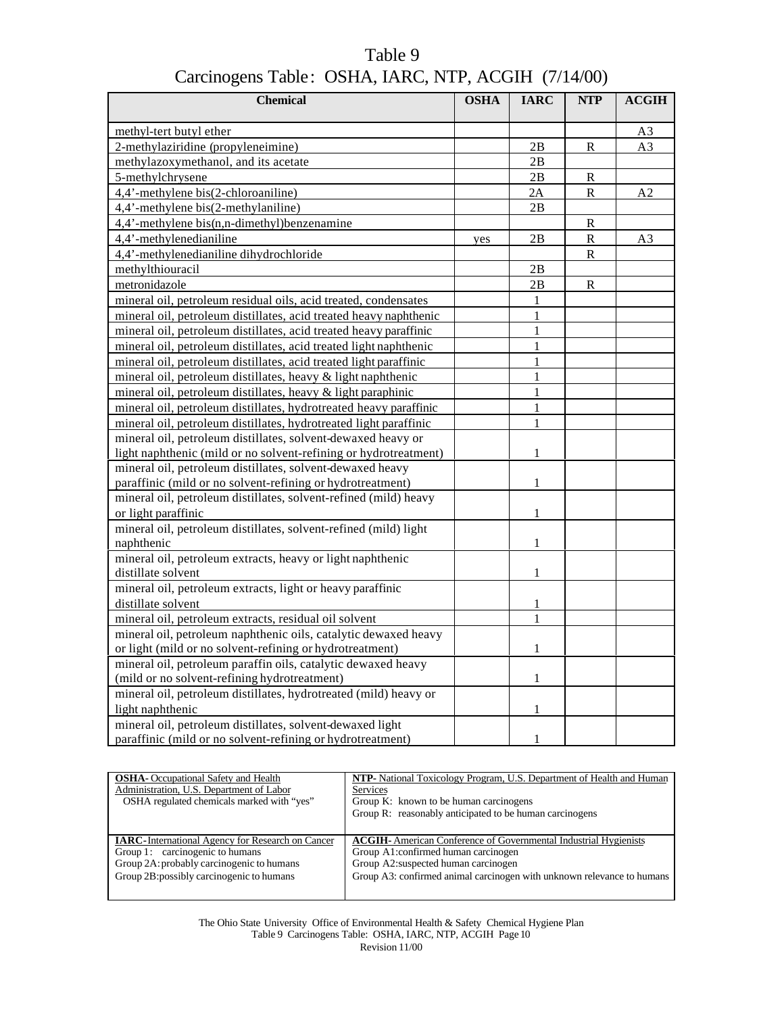| <b>Chemical</b>                                                                                                                        | <b>OSHA</b> | <b>IARC</b>  | <b>NTP</b>   | <b>ACGIH</b> |
|----------------------------------------------------------------------------------------------------------------------------------------|-------------|--------------|--------------|--------------|
| methyl-tert butyl ether                                                                                                                |             |              |              |              |
| 2-methylaziridine (propyleneimine)                                                                                                     |             | 2B           | R            | A3<br>A3     |
| methylazoxymethanol, and its acetate                                                                                                   |             | 2B           |              |              |
| 5-methylchrysene                                                                                                                       |             | 2B           | $\mathbb{R}$ |              |
| 4,4'-methylene bis(2-chloroaniline)                                                                                                    |             | 2A           | $\mathbf R$  | A2           |
| 4,4'-methylene bis(2-methylaniline)                                                                                                    |             | 2B           |              |              |
| 4,4'-methylene bis(n,n-dimethyl)benzenamine                                                                                            |             |              | $\mathbb{R}$ |              |
| 4,4'-methylenedianiline                                                                                                                | yes         | 2B           | ${\bf R}$    | A3           |
| 4,4'-methylenedianiline dihydrochloride                                                                                                |             |              | $\mathbf R$  |              |
| methylthiouracil                                                                                                                       |             | 2B           |              |              |
| metronidazole                                                                                                                          |             | 2B           | $\mathbb{R}$ |              |
| mineral oil, petroleum residual oils, acid treated, condensates                                                                        |             | 1            |              |              |
| mineral oil, petroleum distillates, acid treated heavy naphthenic                                                                      |             | $\mathbf{1}$ |              |              |
| mineral oil, petroleum distillates, acid treated heavy paraffinic                                                                      |             | 1            |              |              |
|                                                                                                                                        |             |              |              |              |
| mineral oil, petroleum distillates, acid treated light naphthenic<br>mineral oil, petroleum distillates, acid treated light paraffinic |             |              |              |              |
|                                                                                                                                        |             | 1            |              |              |
| mineral oil, petroleum distillates, heavy & light naphthenic                                                                           |             |              |              |              |
| mineral oil, petroleum distillates, heavy & light paraphinic                                                                           |             | 1            |              |              |
| mineral oil, petroleum distillates, hydrotreated heavy paraffinic                                                                      |             | 1            |              |              |
| mineral oil, petroleum distillates, hydrotreated light paraffinic                                                                      |             | $\mathbf{1}$ |              |              |
| mineral oil, petroleum distillates, solvent-dewaxed heavy or                                                                           |             |              |              |              |
| light naphthenic (mild or no solvent-refining or hydrotreatment)                                                                       |             | $\mathbf{1}$ |              |              |
| mineral oil, petroleum distillates, solvent-dewaxed heavy                                                                              |             | $\mathbf{1}$ |              |              |
| paraffinic (mild or no solvent-refining or hydrotreatment)<br>mineral oil, petroleum distillates, solvent-refined (mild) heavy         |             |              |              |              |
| or light paraffinic                                                                                                                    |             | $\mathbf{1}$ |              |              |
| mineral oil, petroleum distillates, solvent-refined (mild) light                                                                       |             |              |              |              |
| naphthenic                                                                                                                             |             | $\mathbf{1}$ |              |              |
| mineral oil, petroleum extracts, heavy or light naphthenic                                                                             |             |              |              |              |
| distillate solvent                                                                                                                     |             | $\mathbf{1}$ |              |              |
| mineral oil, petroleum extracts, light or heavy paraffinic                                                                             |             |              |              |              |
| distillate solvent                                                                                                                     |             | $\mathbf{1}$ |              |              |
| mineral oil, petroleum extracts, residual oil solvent                                                                                  |             | $\mathbf{1}$ |              |              |
| mineral oil, petroleum naphthenic oils, catalytic dewaxed heavy                                                                        |             |              |              |              |
| or light (mild or no solvent-refining or hydrotreatment)                                                                               |             | 1            |              |              |
| mineral oil, petroleum paraffin oils, catalytic dewaxed heavy                                                                          |             |              |              |              |
| (mild or no solvent-refining hydrotreatment)                                                                                           |             | 1            |              |              |
| mineral oil, petroleum distillates, hydrotreated (mild) heavy or                                                                       |             |              |              |              |
| light naphthenic                                                                                                                       |             | 1            |              |              |
| mineral oil, petroleum distillates, solvent-dewaxed light                                                                              |             |              |              |              |
| paraffinic (mild or no solvent-refining or hydrotreatment)                                                                             |             | $\mathbf{1}$ |              |              |

| <b>NTP-</b> National Toxicology Program, U.S. Department of Health and Human |
|------------------------------------------------------------------------------|
| Services                                                                     |
| Group K: known to be human carcinogens                                       |
| Group R: reasonably anticipated to be human carcinogens                      |
|                                                                              |
| <b>ACGIH-</b> American Conference of Governmental Industrial Hygienists      |
| Group A1:confirmed human carcinogen                                          |
| Group A2: suspected human carcinogen                                         |
| Group A3: confirmed animal carcinogen with unknown relevance to humans       |
|                                                                              |
|                                                                              |

The Ohio State University Office of Environmental Health & Safety Chemical Hygiene Plan Table 9 Carcinogens Table: OSHA, IARC, NTP, ACGIH Page 10 Revision 11/00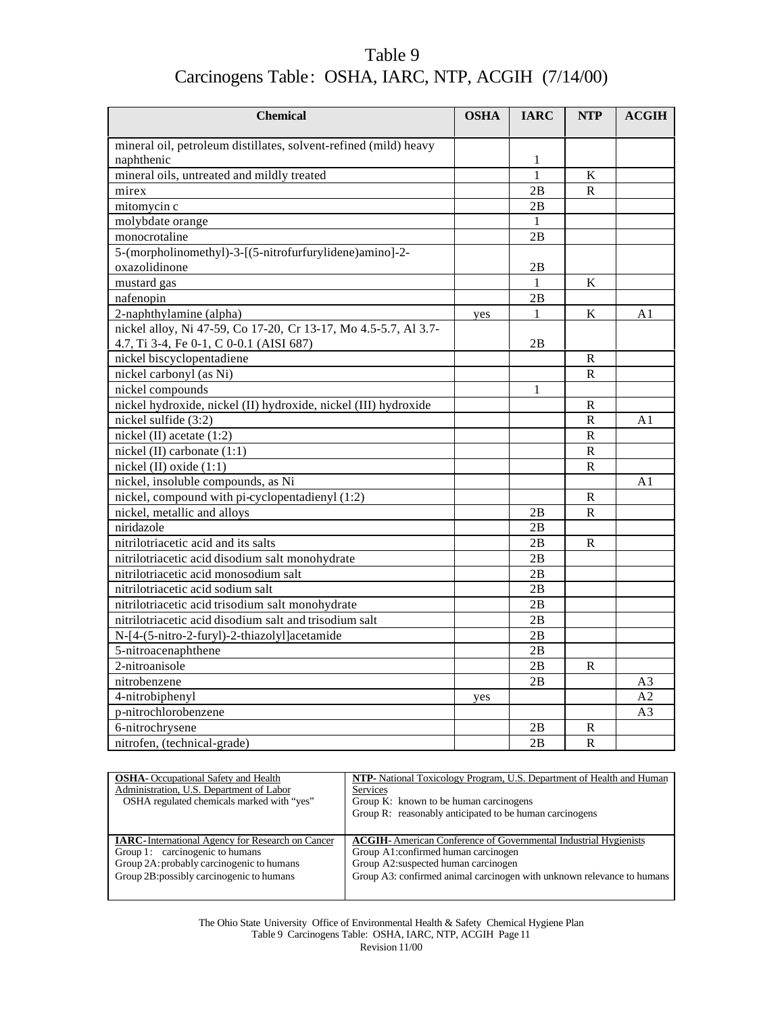| <b>Chemical</b>                                                  | <b>OSHA</b> | <b>IARC</b>  | <b>NTP</b>              | ACGIH          |
|------------------------------------------------------------------|-------------|--------------|-------------------------|----------------|
| mineral oil, petroleum distillates, solvent-refined (mild) heavy |             |              |                         |                |
| naphthenic                                                       |             | $\mathbf{1}$ |                         |                |
| mineral oils, untreated and mildly treated                       |             | $\mathbf{1}$ | K                       |                |
| mirex                                                            |             | 2B           | $\mathbb{R}$            |                |
| mitomycin c                                                      |             | 2B           |                         |                |
| molybdate orange                                                 |             | $\mathbf{1}$ |                         |                |
| monocrotaline                                                    |             | 2B           |                         |                |
| 5-(morpholinomethyl)-3-[(5-nitrofurfurylidene)amino]-2-          |             |              |                         |                |
| oxazolidinone                                                    |             | 2B           |                         |                |
| mustard gas                                                      |             | $\mathbf{1}$ | K                       |                |
| nafenopin                                                        |             | 2B           |                         |                |
| 2-naphthylamine (alpha)                                          | yes         | 1            | K                       | A <sub>1</sub> |
| nickel alloy, Ni 47-59, Co 17-20, Cr 13-17, Mo 4.5-5.7, Al 3.7-  |             |              |                         |                |
| 4.7, Ti 3-4, Fe 0-1, C 0-0.1 (AISI 687)                          |             | 2B           |                         |                |
| nickel biscyclopentadiene                                        |             |              | R                       |                |
| nickel carbonyl (as Ni)                                          |             |              | $\mathbf R$             |                |
| nickel compounds                                                 |             | 1            |                         |                |
| nickel hydroxide, nickel (II) hydroxide, nickel (III) hydroxide  |             |              | R                       |                |
| nickel sulfide (3:2)                                             |             |              | $\mathbb{R}$            | A <sub>1</sub> |
| nickel (II) acetate (1:2)                                        |             |              | ${\bf R}$               |                |
| nickel (II) carbonate $(1:1)$                                    |             |              | $\mathbb{R}$            |                |
| nickel (II) oxide (1:1)                                          |             |              | $\mathbb{R}$            |                |
| nickel, insoluble compounds, as Ni                               |             |              |                         | A <sub>1</sub> |
| nickel, compound with pi-cyclopentadienyl (1:2)                  |             |              | R                       |                |
| nickel, metallic and alloys                                      |             | 2B           | $\mathbf R$             |                |
| niridazole                                                       |             | 2B           |                         |                |
| nitrilotriacetic acid and its salts                              |             | 2B           | R                       |                |
| nitrilotriacetic acid disodium salt monohydrate                  |             | 2B           |                         |                |
| nitrilotriacetic acid monosodium salt                            |             | 2B           |                         |                |
| nitrilotriacetic acid sodium salt                                |             | 2B           |                         |                |
| nitrilotriacetic acid trisodium salt monohydrate                 |             | 2B           |                         |                |
| nitrilotriacetic acid disodium salt and trisodium salt           |             | 2B           |                         |                |
| N-[4-(5-nitro-2-furyl)-2-thiazolyl]acetamide                     |             | 2B           |                         |                |
| 5-nitroacenaphthene                                              |             | 2B           |                         |                |
| 2-nitroanisole                                                   |             | 2B           | R                       |                |
| nitrobenzene                                                     |             | 2B           |                         | A3             |
| 4-nitrobiphenyl                                                  | yes         |              |                         | A2             |
| p-nitrochlorobenzene                                             |             |              |                         | A <sub>3</sub> |
| 6-nitrochrysene                                                  |             | 2B           | R                       |                |
| nitrofen, (technical-grade)                                      |             | 2B           | $\overline{\mathsf{R}}$ |                |

| <b>OSHA</b> -Occupational Safety and Health              | <b>NTP-</b> National Toxicology Program, U.S. Department of Health and Human |
|----------------------------------------------------------|------------------------------------------------------------------------------|
| Administration, U.S. Department of Labor                 | <b>Services</b>                                                              |
| OSHA regulated chemicals marked with "yes"               | Group K: known to be human carcinogens                                       |
|                                                          | Group R: reasonably anticipated to be human carcinogens                      |
|                                                          |                                                                              |
| <b>IARC</b> -International Agency for Research on Cancer | <b>ACGIH-</b> American Conference of Governmental Industrial Hygienists      |
| Group 1: carcinogenic to humans                          | Group A1:confirmed human carcinogen                                          |
| Group 2A: probably carcinogenic to humans                | Group A2: suspected human carcinogen                                         |
| Group 2B: possibly carcinogenic to humans                | Group A3: confirmed animal carcinogen with unknown relevance to humans       |
|                                                          |                                                                              |

The Ohio State University Office of Environmental Health & Safety Chemical Hygiene Plan Table 9 Carcinogens Table: OSHA, IARC, NTP, ACGIH Page 11 Revision 11/00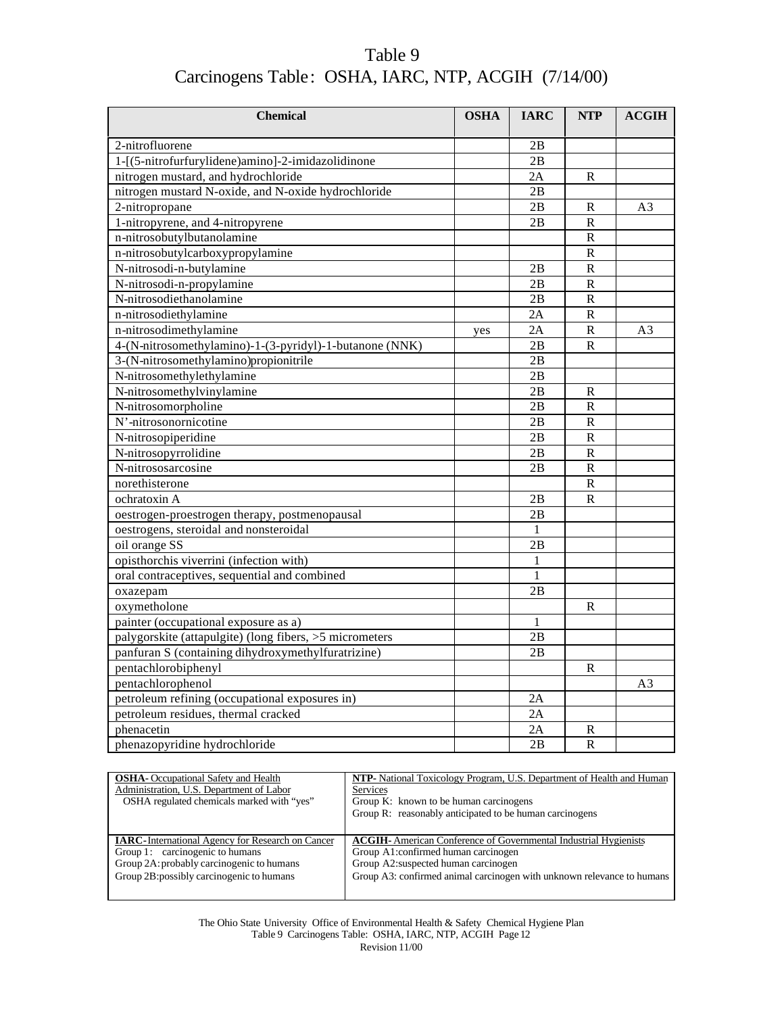| Table 9                                             |  |
|-----------------------------------------------------|--|
| Carcinogens Table: OSHA, IARC, NTP, ACGIH (7/14/00) |  |

| <b>Chemical</b>                                         | <b>OSHA</b> | <b>IARC</b>  | <b>NTP</b>                 | ACGIH          |
|---------------------------------------------------------|-------------|--------------|----------------------------|----------------|
| 2-nitrofluorene                                         |             | 2B           |                            |                |
| 1-[(5-nitrofurfurylidene)amino]-2-imidazolidinone       |             | 2B           |                            |                |
| nitrogen mustard, and hydrochloride                     |             | 2A           | $\mathbf{R}$               |                |
| nitrogen mustard N-oxide, and N-oxide hydrochloride     |             | 2B           |                            |                |
| 2-nitropropane                                          |             | 2B           |                            |                |
|                                                         |             |              | R<br>$\overline{\text{R}}$ | A3             |
| 1-nitropyrene, and 4-nitropyrene                        |             | 2B           |                            |                |
| n-nitrosobutylbutanolamine                              |             |              | ${\bf R}$                  |                |
| n-nitrosobutylcarboxypropylamine                        |             |              | $\overline{\text{R}}$      |                |
| N-nitrosodi-n-butylamine                                |             | 2B           | ${\bf R}$                  |                |
| N-nitrosodi-n-propylamine                               |             | 2Β           | $\overline{\mathsf{R}}$    |                |
| N-nitrosodiethanolamine                                 |             | 2B           | $\mathbb{R}$               |                |
| n-nitrosodiethylamine                                   |             | 2A           | $\mathbb{R}$               |                |
| n-nitrosodimethylamine                                  | yes         | 2A           | $\mathbf R$                | A <sub>3</sub> |
| 4-(N-nitrosomethylamino)-1-(3-pyridyl)-1-butanone (NNK) |             | 2B           | $\overline{\mathsf{R}}$    |                |
| 3-(N-nitrosomethylamino)propionitrile                   |             | 2B           |                            |                |
| N-nitrosomethylethylamine                               |             | 2B           |                            |                |
| N-nitrosomethylvinylamine                               |             | 2B           | ${\bf R}$                  |                |
| N-nitrosomorpholine                                     |             | 2B           | ${\bf R}$                  |                |
| N'-nitrosonornicotine                                   |             | 2B           | $\overline{\mathsf{R}}$    |                |
| N-nitrosopiperidine                                     |             | 2B           | ${\bf R}$                  |                |
| N-nitrosopyrrolidine                                    |             | 2B           | $\mathbb{R}$               |                |
| N-nitrososarcosine                                      |             | 2B           | $\overline{R}$             |                |
| norethisterone                                          |             |              | $\mathbf R$                |                |
| ochratoxin A                                            |             | 2B           | $\mathbb{R}$               |                |
| oestrogen-proestrogen therapy, postmenopausal           |             | 2B           |                            |                |
| oestrogens, steroidal and nonsteroidal                  |             | 1            |                            |                |
| oil orange SS                                           |             | 2B           |                            |                |
| opisthorchis viverrini (infection with)                 |             | 1            |                            |                |
| oral contraceptives, sequential and combined            |             | $\mathbf{1}$ |                            |                |
| oxazepam                                                |             | 2В           |                            |                |
| oxymetholone                                            |             |              | R                          |                |
| painter (occupational exposure as a)                    |             | 1            |                            |                |
| palygorskite (attapulgite) (long fibers, >5 micrometers |             | 2B           |                            |                |
| panfuran S (containing dihydroxymethylfuratrizine)      |             | 2B           |                            |                |
| pentachlorobiphenyl                                     |             |              | R                          |                |
| pentachlorophenol                                       |             |              |                            | A <sub>3</sub> |
| petroleum refining (occupational exposures in)          |             | 2A           |                            |                |
| petroleum residues, thermal cracked                     |             | 2A           |                            |                |
| phenacetin                                              |             | 2A           | R                          |                |
| phenazopyridine hydrochloride                           |             | 2B           | $\overline{\text{R}}$      |                |

| <b>OSHA</b> -Occupational Safety and Health              | NTP- National Toxicology Program, U.S. Department of Health and Human   |
|----------------------------------------------------------|-------------------------------------------------------------------------|
| Administration, U.S. Department of Labor                 | <b>Services</b>                                                         |
| OSHA regulated chemicals marked with "ves"               | Group K: known to be human carcinogens                                  |
|                                                          | Group R: reasonably anticipated to be human carcinogens                 |
|                                                          |                                                                         |
|                                                          |                                                                         |
| <b>IARC</b> -International Agency for Research on Cancer | <b>ACGIH-</b> American Conference of Governmental Industrial Hygienists |
| Group 1: carcinogenic to humans                          | Group A1:confirmed human carcinogen                                     |
| Group 2A: probably carcinogenic to humans                | Group A2:suspected human carcinogen                                     |
| Group 2B: possibly carcinogenic to humans                | Group A3: confirmed animal carcinogen with unknown relevance to humans  |
|                                                          |                                                                         |

The Ohio State University Office of Environmental Health & Safety Chemical Hygiene Plan Table 9 Carcinogens Table: OSHA, IARC, NTP, ACGIH Page 12 Revision 11/00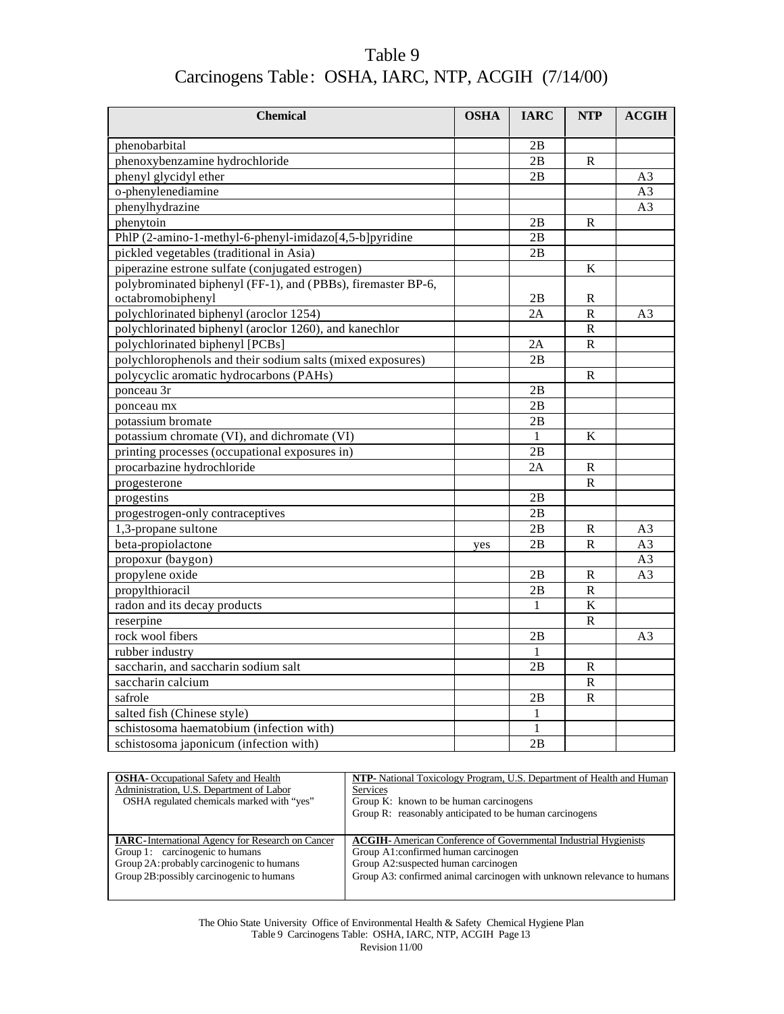| Table 9                                             |  |
|-----------------------------------------------------|--|
| Carcinogens Table: OSHA, IARC, NTP, ACGIH (7/14/00) |  |

| <b>Chemical</b>                                              | <b>OSHA</b> | <b>IARC</b>  | <b>NTP</b>              | <b>ACGIH</b>   |
|--------------------------------------------------------------|-------------|--------------|-------------------------|----------------|
| phenobarbital                                                |             | 2B           |                         |                |
| phenoxybenzamine hydrochloride                               |             | 2B           | ${\bf R}$               |                |
| phenyl glycidyl ether                                        |             | 2B           |                         | A <sub>3</sub> |
| o-phenylenediamine                                           |             |              |                         | A <sub>3</sub> |
| phenylhydrazine                                              |             |              |                         | A <sub>3</sub> |
| phenytoin                                                    |             | 2B           | $\mathbf R$             |                |
| PhlP (2-amino-1-methyl-6-phenyl-imidazo[4,5-b]pyridine       |             | 2B           |                         |                |
| pickled vegetables (traditional in Asia)                     |             | 2B           |                         |                |
| piperazine estrone sulfate (conjugated estrogen)             |             |              | K                       |                |
| polybrominated biphenyl (FF-1), and (PBBs), firemaster BP-6, |             |              |                         |                |
| octabromobiphenyl                                            |             | 2B           | R                       |                |
| polychlorinated biphenyl (aroclor 1254)                      |             | 2A           | $\mathsf{R}$            | A <sub>3</sub> |
| polychlorinated biphenyl (aroclor 1260), and kanechlor       |             |              | $\overline{\mathsf{R}}$ |                |
| polychlorinated biphenyl [PCBs]                              |             | 2Α           | $\mathbf R$             |                |
| polychlorophenols and their sodium salts (mixed exposures)   |             | 2B           |                         |                |
| polycyclic aromatic hydrocarbons (PAHs)                      |             |              | R                       |                |
| ponceau 3r                                                   |             | 2B           |                         |                |
| ponceau mx                                                   |             | 2B           |                         |                |
| potassium bromate                                            |             | 2B           |                         |                |
| potassium chromate (VI), and dichromate (VI)                 |             | $\mathbf{1}$ | K                       |                |
| printing processes (occupational exposures in)               |             | 2B           |                         |                |
| procarbazine hydrochloride                                   |             | 2A           | $\mathbb{R}$            |                |
| progesterone                                                 |             |              | $\mathbb{R}$            |                |
| progestins                                                   |             | 2B           |                         |                |
| progestrogen-only contraceptives                             |             | 2B           |                         |                |
| 1,3-propane sultone                                          |             | 2B           | ${\bf R}$               | A <sub>3</sub> |
| beta-propiolactone                                           | yes         | 2B           | $\mathbb{R}$            | A <sub>3</sub> |
| propoxur (baygon)                                            |             |              |                         | A <sub>3</sub> |
| propylene oxide                                              |             | 2B           | R                       | A <sub>3</sub> |
| propylthioracil                                              |             | 2B           | $\mathbb{R}$            |                |
| radon and its decay products                                 |             | $\mathbf{1}$ | $\overline{\mathbf{K}}$ |                |
| reserpine                                                    |             |              | $\mathbb{R}$            |                |
| rock wool fibers                                             |             | 2B           |                         | A3             |
| rubber industry                                              |             | 1            |                         |                |
| saccharin, and saccharin sodium salt                         |             | 2B           | ${\bf R}$               |                |
| saccharin calcium                                            |             |              | ${\bf R}$               |                |
| safrole                                                      |             | 2B           | $\mathbb{R}$            |                |
| salted fish (Chinese style)                                  |             | 1            |                         |                |
| schistosoma haematobium (infection with)                     |             | 1            |                         |                |
| schistosoma japonicum (infection with)                       |             | 2B           |                         |                |

| <b>OSHA</b> - Occupational Safety and Health             | <b>NTP-</b> National Toxicology Program, U.S. Department of Health and Human |
|----------------------------------------------------------|------------------------------------------------------------------------------|
| Administration, U.S. Department of Labor                 | <b>Services</b>                                                              |
| OSHA regulated chemicals marked with "yes"               | Group K: known to be human carcinogens                                       |
|                                                          | Group R: reasonably anticipated to be human carcinogens                      |
|                                                          |                                                                              |
| <b>IARC</b> -International Agency for Research on Cancer | <b>ACGIH-</b> American Conference of Governmental Industrial Hygienists      |
| Group 1: carcinogenic to humans                          | Group A1: confirmed human carcinogen                                         |
| Group 2A: probably carcinogenic to humans                | Group A2: suspected human carcinogen                                         |
| Group 2B: possibly carcinogenic to humans                | Group A3: confirmed animal carcinogen with unknown relevance to humans       |
|                                                          |                                                                              |

The Ohio State University Office of Environmental Health & Safety Chemical Hygiene Plan Table 9 Carcinogens Table: OSHA, IARC, NTP, ACGIH Page 13 Revision 11/00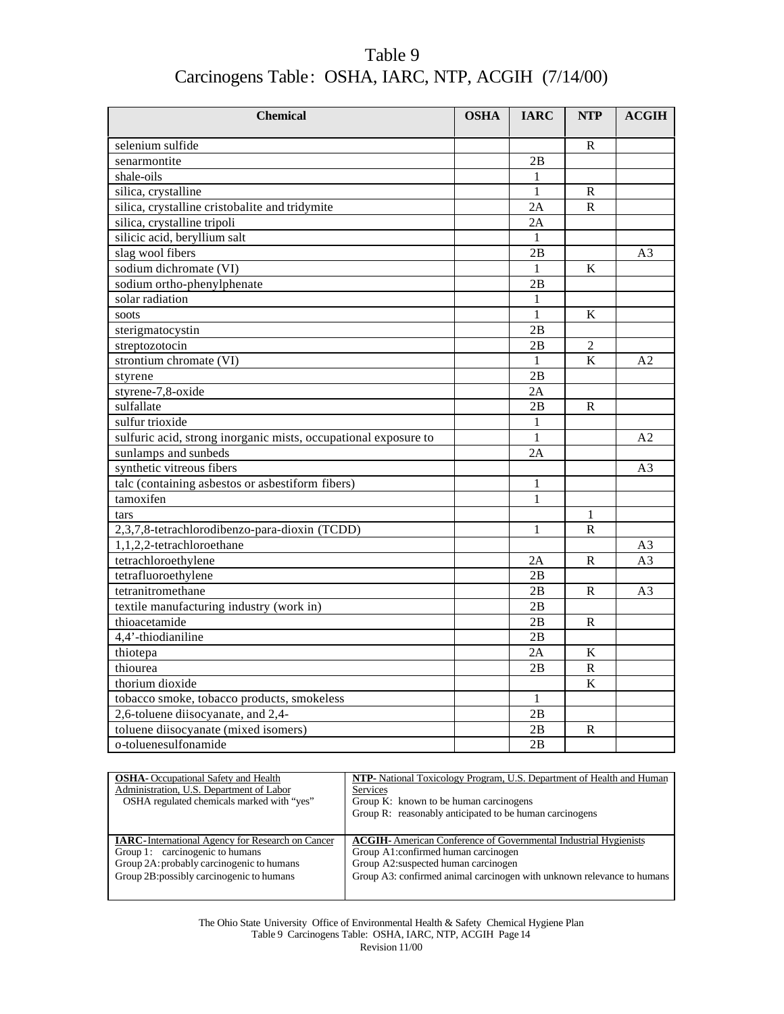| Table 9                                             |  |
|-----------------------------------------------------|--|
| Carcinogens Table: OSHA, IARC, NTP, ACGIH (7/14/00) |  |

| <b>Chemical</b>                                                                  | <b>OSHA</b> | <b>IARC</b>  | <b>NTP</b>                  | <b>ACGIH</b>   |
|----------------------------------------------------------------------------------|-------------|--------------|-----------------------------|----------------|
| selenium sulfide                                                                 |             |              | $\mathbb{R}$                |                |
| senarmontite                                                                     |             | 2B           |                             |                |
| shale-oils                                                                       |             | 1            |                             |                |
|                                                                                  |             | $\mathbf{1}$ |                             |                |
| silica, crystalline                                                              |             | 2A           | $\mathbb{R}$<br>$\mathbf R$ |                |
| silica, crystalline cristobalite and tridymite                                   |             |              |                             |                |
| silica, crystalline tripoli                                                      |             | 2A           |                             |                |
| silicic acid, beryllium salt                                                     |             | 1            |                             |                |
| slag wool fibers                                                                 |             | 2B           |                             | A <sub>3</sub> |
| sodium dichromate (VI)                                                           |             | $\mathbf{1}$ | K                           |                |
| sodium ortho-phenylphenate                                                       |             | 2B           |                             |                |
| solar radiation                                                                  |             | $\mathbf{1}$ |                             |                |
| soots                                                                            |             | 1            | K                           |                |
| sterigmatocystin                                                                 |             | 2B           |                             |                |
| streptozotocin                                                                   |             | 2B           | $\overline{2}$              |                |
| strontium chromate (VI)                                                          |             | $\mathbf{1}$ | K                           | A <sub>2</sub> |
| styrene                                                                          |             | 2B           |                             |                |
| styrene-7,8-oxide                                                                |             | 2Α           |                             |                |
| sulfallate                                                                       |             | 2B           | $\mathbb{R}$                |                |
| sulfur trioxide                                                                  |             | $\mathbf{1}$ |                             |                |
| sulfuric acid, strong inorganic mists, occupational exposure to                  |             | $\mathbf{1}$ |                             | A <sub>2</sub> |
| sunlamps and sunbeds                                                             |             | 2A           |                             |                |
| synthetic vitreous fibers                                                        |             |              |                             | A <sub>3</sub> |
| talc (containing asbestos or asbestiform fibers)                                 |             | 1            |                             |                |
| tamoxifen                                                                        |             | $\mathbf{1}$ |                             |                |
| tars                                                                             |             |              | 1                           |                |
| 2,3,7,8-tetrachlorodibenzo-para-dioxin (TCDD)                                    |             | 1            | R                           |                |
| 1,1,2,2-tetrachloroethane                                                        |             |              |                             | A <sub>3</sub> |
| tetrachloroethylene                                                              |             | 2A           | $\mathbf R$                 | A <sub>3</sub> |
| tetrafluoroethylene                                                              |             | 2B           |                             |                |
| tetranitromethane                                                                |             | 2B           | R                           | A <sub>3</sub> |
| textile manufacturing industry (work in)                                         |             | 2B           |                             |                |
| thioacetamide                                                                    |             | 2B           | $\mathsf{R}$                |                |
| 4,4'-thiodianiline                                                               |             | 2B           |                             |                |
| thiotepa                                                                         |             | 2Α           | $\bf K$                     |                |
| thiourea                                                                         |             | 2B           | R                           |                |
| thorium dioxide                                                                  |             |              | $\overline{K}$              |                |
|                                                                                  |             | $\mathbf{1}$ |                             |                |
| tobacco smoke, tobacco products, smokeless<br>2,6-toluene diisocyanate, and 2,4- |             |              |                             |                |
|                                                                                  |             | 2B           |                             |                |
| toluene diisocyanate (mixed isomers)                                             |             | 2B           | R                           |                |
| o-toluenesulfonamide                                                             |             | 2B           |                             |                |

| <b>OSHA</b> - Occupational Safety and Health             | <b>NTP-</b> National Toxicology Program, U.S. Department of Health and Human |
|----------------------------------------------------------|------------------------------------------------------------------------------|
| Administration, U.S. Department of Labor                 | <b>Services</b>                                                              |
| OSHA regulated chemicals marked with "yes"               | Group K: known to be human carcinogens                                       |
|                                                          | Group R: reasonably anticipated to be human carcinogens                      |
|                                                          |                                                                              |
| <b>IARC</b> -International Agency for Research on Cancer | <b>ACGIH-</b> American Conference of Governmental Industrial Hygienists      |
| Group 1: carcinogenic to humans                          | Group A1: confirmed human carcinogen                                         |
| Group 2A: probably carcinogenic to humans                | Group A2: suspected human carcinogen                                         |
| Group 2B: possibly carcinogenic to humans                | Group A3: confirmed animal carcinogen with unknown relevance to humans       |
|                                                          |                                                                              |

The Ohio State University Office of Environmental Health & Safety Chemical Hygiene Plan Table 9 Carcinogens Table: OSHA, IARC, NTP, ACGIH Page 14 Revision 11/00